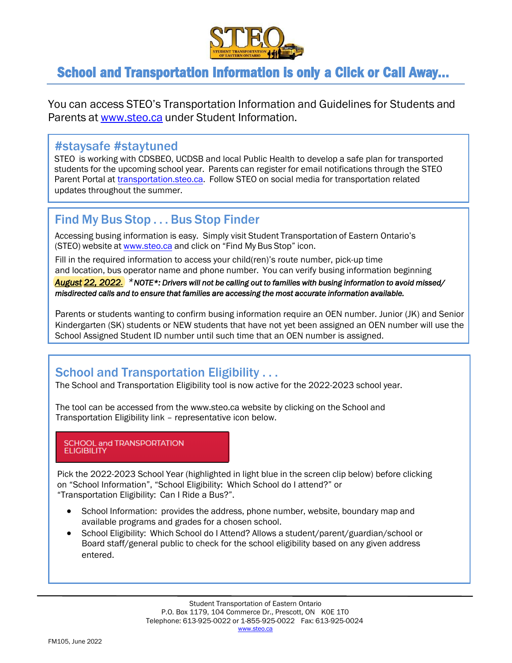

# School and Transportation Information is only a Click or Call Away…

You can access STEO's Transportation Information and Guidelines for Students and Parents at [www.steo.ca](http://www.steo.ca/) under Student Information.

### #staysafe #staytuned

STEO is working with CDSBEO, UCDSB and local Public Health to develop a safe plan for transported students for the upcoming school year. Parents can register for email notifications through the STEO Parent Portal at [transportation.steo.ca.](https://transportation.steo.ca/) Follow STEO on social media for transportation related updates throughout the summer.

# Find My Bus Stop . . . Bus Stop Finder

Accessing busing information is easy. Simply visit Student Transportation of Eastern Ontario's (STEO) website at [www.steo.ca](https://www.steo.ca/) and click on "Find My Bus Stop" icon.

Fill in the required information to access your child(ren)'s route number, pick-up time and location, bus operator name and phone number. You can verify busing information beginning

*August 22, 2022. \*NOTE\*: Drivers will not be calling out to families with busing information to avoid missed/ misdirected calls and to ensure that families are accessing the most accurate information available.*

Parents or students wanting to confirm busing information require an OEN number. Junior (JK) and Senior Kindergarten (SK) students or NEW students that have not yet been assigned an OEN number will use the School Assigned Student ID number until such time that an OEN number is assigned.

## School and Transportation Eligibility . . .

The School and Transportation Eligibility tool is now active for the 2022-2023 school year.

The tool can be accessed from the [www.steo.ca w](http://www.steo.ca/)ebsite by clicking on the School and Transportation Eligibility link – representative icon below.

#### **SCHOOL and TRANSPORTATION ELIGIBILITY**

Pick the 2022-2023 School Year (highlighted in light blue in the screen clip below) before clicking on "School Information", "School Eligibility: Which School do I attend?" or "Transportation Eligibility: Can I Ride a Bus?".

- School Information: provides the address, phone number, website, boundary map and available programs and grades for a chosen school.
- School Eligibility: Which School do I Attend? Allows a student/parent/guardian/school or Board staff/general public to check for the school eligibility based on any given address entered.